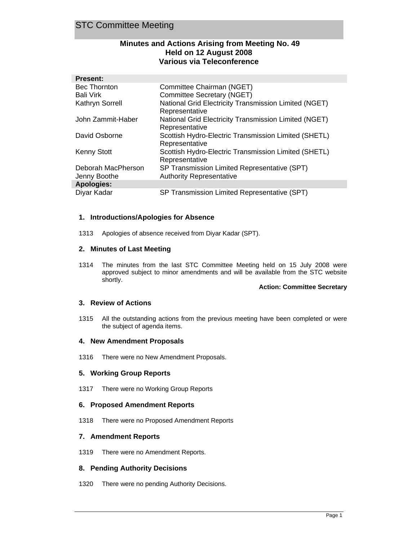## STC Committee Meeting

## **Minutes and Actions Arising from Meeting No. 49 Held on 12 August 2008 Various via Teleconference**

| <b>Present:</b>                    |                                                                                 |
|------------------------------------|---------------------------------------------------------------------------------|
| <b>Bec Thornton</b>                | Committee Chairman (NGET)                                                       |
| Bali Virk                          | Committee Secretary (NGET)                                                      |
| Kathryn Sorrell                    | National Grid Electricity Transmission Limited (NGET)<br>Representative         |
| John Zammit-Haber                  | National Grid Electricity Transmission Limited (NGET)<br>Representative         |
| David Osborne                      | Scottish Hydro-Electric Transmission Limited (SHETL)<br>Representative          |
| <b>Kenny Stott</b>                 | Scottish Hydro-Electric Transmission Limited (SHETL)<br>Representative          |
| Deborah MacPherson<br>Jenny Boothe | SP Transmission Limited Representative (SPT)<br><b>Authority Representative</b> |
| <b>Apologies:</b>                  |                                                                                 |
| Diyar Kadar                        | SP Transmission Limited Representative (SPT)                                    |

## **1. Introductions/Apologies for Absence**

1313 Apologies of absence received from Diyar Kadar (SPT).

### **2. Minutes of Last Meeting**

1314 The minutes from the last STC Committee Meeting held on 15 July 2008 were approved subject to minor amendments and will be available from the STC website shortly.

#### **Action: Committee Secretary**

#### **3. Review of Actions**

1315 All the outstanding actions from the previous meeting have been completed or were the subject of agenda items.

#### **4. New Amendment Proposals**

1316 There were no New Amendment Proposals.

## **5. Working Group Reports**

1317 There were no Working Group Reports

## **6. Proposed Amendment Reports**

1318 There were no Proposed Amendment Reports

## **7. Amendment Reports**

1319 There were no Amendment Reports.

## **8. Pending Authority Decisions**

1320 There were no pending Authority Decisions.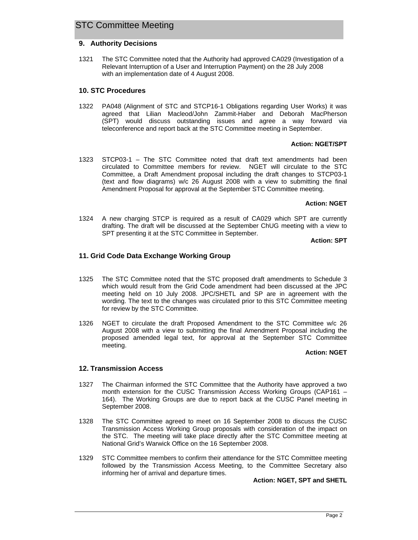## STC Committee Meeting

### **9. Authority Decisions**

1321 The STC Committee noted that the Authority had approved CA029 (Investigation of a Relevant Interruption of a User and Interruption Payment) on the 28 July 2008 with an implementation date of 4 August 2008.

#### **10. STC Procedures**

1322 PA048 (Alignment of STC and STCP16-1 Obligations regarding User Works) it was agreed that Lilian Macleod/John Zammit-Haber and Deborah MacPherson (SPT) would discuss outstanding issues and agree a way forward via teleconference and report back at the STC Committee meeting in September.

#### **Action: NGET/SPT**

1323 STCP03-1 – The STC Committee noted that draft text amendments had been circulated to Committee members for review. NGET will circulate to the STC Committee, a Draft Amendment proposal including the draft changes to STCP03-1 (text and flow diagrams) w/c 26 August 2008 with a view to submitting the final Amendment Proposal for approval at the September STC Committee meeting.

#### **Action: NGET**

1324 A new charging STCP is required as a result of CA029 which SPT are currently drafting. The draft will be discussed at the September ChUG meeting with a view to SPT presenting it at the STC Committee in September.

**Action: SPT**

## **11. Grid Code Data Exchange Working Group**

- 1325 The STC Committee noted that the STC proposed draft amendments to Schedule 3 which would result from the Grid Code amendment had been discussed at the JPC meeting held on 10 July 2008. JPC/SHETL and SP are in agreement with the wording. The text to the changes was circulated prior to this STC Committee meeting for review by the STC Committee.
- 1326 NGET to circulate the draft Proposed Amendment to the STC Committee w/c 26 August 2008 with a view to submitting the final Amendment Proposal including the proposed amended legal text, for approval at the September STC Committee meeting.

#### **Action: NGET**

#### **12. Transmission Access**

- 1327 The Chairman informed the STC Committee that the Authority have approved a two month extension for the CUSC Transmission Access Working Groups (CAP161 – 164). The Working Groups are due to report back at the CUSC Panel meeting in September 2008.
- 1328 The STC Committee agreed to meet on 16 September 2008 to discuss the CUSC Transmission Access Working Group proposals with consideration of the impact on the STC. The meeting will take place directly after the STC Committee meeting at National Grid's Warwick Office on the 16 September 2008.
- 1329 STC Committee members to confirm their attendance for the STC Committee meeting followed by the Transmission Access Meeting, to the Committee Secretary also informing her of arrival and departure times.

#### **Action: NGET, SPT and SHETL**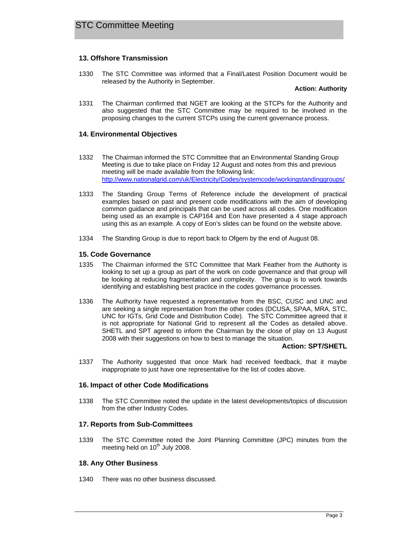## **13. Offshore Transmission**

1330 The STC Committee was informed that a Final/Latest Position Document would be released by the Authority in September.

**Action: Authority** 

1331 The Chairman confirmed that NGET are looking at the STCPs for the Authority and also suggested that the STC Committee may be required to be involved in the proposing changes to the current STCPs using the current governance process.

### **14. Environmental Objectives**

- 1332 The Chairman informed the STC Committee that an Environmental Standing Group Meeting is due to take place on Friday 12 August and notes from this and previous meeting will be made available from the following link: http://www.nationalgrid.com/uk/Electricity/Codes/systemcode/workingstandinggroups/
- 1333 The Standing Group Terms of Reference include the development of practical examples based on past and present code modifications with the aim of developing common guidance and principals that can be used across all codes. One modification being used as an example is CAP164 and Eon have presented a 4 stage approach using this as an example. A copy of Eon's slides can be found on the website above.
- 1334 The Standing Group is due to report back to Ofgem by the end of August 08.

#### **15. Code Governance**

- 1335 The Chairman informed the STC Committee that Mark Feather from the Authority is looking to set up a group as part of the work on code governance and that group will be looking at reducing fragmentation and complexity. The group is to work towards identifying and establishing best practice in the codes governance processes.
- 1336 The Authority have requested a representative from the BSC, CUSC and UNC and are seeking a single representation from the other codes (DCUSA, SPAA, MRA, STC, UNC for IGTs, Grid Code and Distribution Code). The STC Committee agreed that it is not appropriate for National Grid to represent all the Codes as detailed above. SHETL and SPT agreed to inform the Chairman by the close of play on 13 August 2008 with their suggestions on how to best to manage the situation.

#### **Action: SPT/SHETL**

1337 The Authority suggested that once Mark had received feedback, that it maybe inappropriate to just have one representative for the list of codes above.

#### **16. Impact of other Code Modifications**

1338 The STC Committee noted the update in the latest developments/topics of discussion from the other Industry Codes.

#### **17. Reports from Sub-Committees**

1339 The STC Committee noted the Joint Planning Committee (JPC) minutes from the meeting held on  $10<sup>th</sup>$  July 2008.

## **18. Any Other Business**

1340 There was no other business discussed.